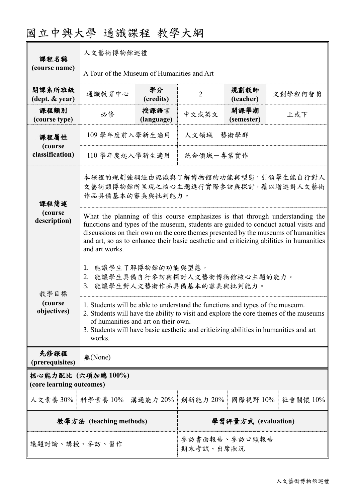| 課程名稱                                           | 人文藝術博物館巡禮                                                                                                                                                                                                                                                                                                                                                               |                            |                     |                    |             |  |
|------------------------------------------------|-------------------------------------------------------------------------------------------------------------------------------------------------------------------------------------------------------------------------------------------------------------------------------------------------------------------------------------------------------------------------|----------------------------|---------------------|--------------------|-------------|--|
| (course name)                                  | A Tour of the Museum of Humanities and Art                                                                                                                                                                                                                                                                                                                              |                            |                     |                    |             |  |
| 開課系所班級<br>$(\text{dept.} \& \text{ year})$     | 通識教育中心                                                                                                                                                                                                                                                                                                                                                                  | 學分<br>(credits)            | $\overline{2}$      | 規劃教師<br>(teacher)  | 文創學程何智勇     |  |
| 課程類別<br>(course type)                          | 必修                                                                                                                                                                                                                                                                                                                                                                      | 授課語言<br>(language)         | 中文或英文               | 開課學期<br>(semester) | 上或下         |  |
| 課程屬性<br>(course<br>classification)             | 人文領域一藝術學群<br>109 學年度前入學新生適用                                                                                                                                                                                                                                                                                                                                             |                            |                     |                    |             |  |
|                                                | 110 學年度起入學新生適用<br>統合領域-專業實作                                                                                                                                                                                                                                                                                                                                             |                            |                     |                    |             |  |
| 課程簡述                                           | 本課程的規劃強調經由認識與了解博物館的功能與型態,引領學生能自行對人<br>文藝術類博物館所呈現之核心主題進行實際參訪與探討,藉以增進對人文藝術<br>作品具備基本的審美與批判能力。                                                                                                                                                                                                                                                                             |                            |                     |                    |             |  |
| (course<br>description)                        | What the planning of this course emphasizes is that through understanding the<br>functions and types of the museum, students are guided to conduct actual visits and<br>discussions on their own on the core themes presented by the museums of humanities<br>and art, so as to enhance their basic aesthetic and criticizing abilities in humanities<br>and art works. |                            |                     |                    |             |  |
| 教學目標<br>(course)<br>objectives)                | 能讓學生了解博物館的功能與型態。<br>1.<br>能讓學生具備自行參訪與探討人文藝術博物館核心主題的能力。<br>2.<br>能讓學生對人文藝術作品具備基本的審美與批判能力。<br>3.                                                                                                                                                                                                                                                                          |                            |                     |                    |             |  |
|                                                | 1. Students will be able to understand the functions and types of the museum.<br>2. Students will have the ability to visit and explore the core themes of the museums<br>of humanities and art on their own.<br>3. Students will have basic aesthetic and criticizing abilities in humanities and art<br>works.                                                        |                            |                     |                    |             |  |
| 先修課程<br>(prerequisites)                        | 無(None)                                                                                                                                                                                                                                                                                                                                                                 |                            |                     |                    |             |  |
| 核心能力配比 (六項加總 100%)<br>(core learning outcomes) |                                                                                                                                                                                                                                                                                                                                                                         |                            |                     |                    |             |  |
| 人文素養 30%                                       | 科學素養 10%                                                                                                                                                                                                                                                                                                                                                                | 溝通能力 20%                   | 創新能力 20%            | 國際視野 10%           | 社會關懷 $10\%$ |  |
| 教學方法 (teaching methods)                        |                                                                                                                                                                                                                                                                                                                                                                         |                            | 學習評量方式 (evaluation) |                    |             |  |
| 議題討論、講授、參訪、習作                                  |                                                                                                                                                                                                                                                                                                                                                                         | 參訪書面報告、參訪口頭報告<br>期末考試、出席狀況 |                     |                    |             |  |

## 國立中興大學 通識課程 教學大綱